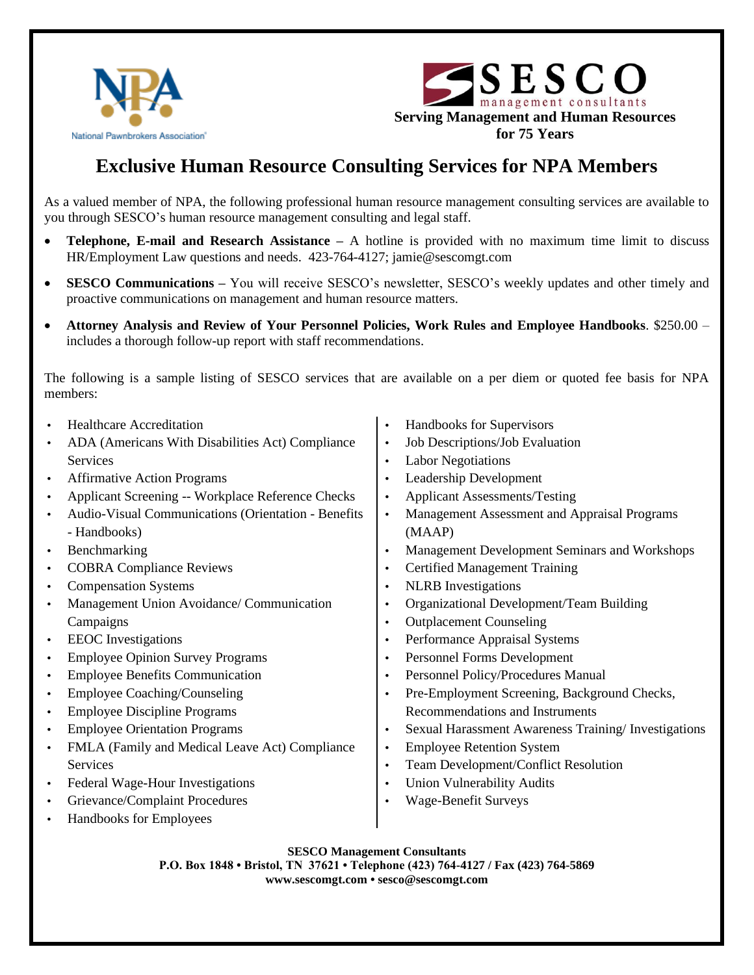



## **Exclusive Human Resource Consulting Services for NPA Members**

As a valued member of NPA, the following professional human resource management consulting services are available to you through SESCO's human resource management consulting and legal staff.

- **Telephone, E-mail and Research Assistance –** A hotline is provided with no maximum time limit to discuss HR/Employment Law questions and needs. 423-764-4127; jamie@sescomgt.com
- **SESCO Communications –** You will receive SESCO's newsletter, SESCO's weekly updates and other timely and proactive communications on management and human resource matters.
- **Attorney Analysis and Review of Your Personnel Policies, Work Rules and Employee Handbooks**. \$250.00 includes a thorough follow-up report with staff recommendations.

The following is a sample listing of SESCO services that are available on a per diem or quoted fee basis for NPA members:

|           | <b>Healthcare Accreditation</b>                     | $\bullet$ | Handbooks for Supervisors                            |
|-----------|-----------------------------------------------------|-----------|------------------------------------------------------|
|           | ADA (Americans With Disabilities Act) Compliance    | $\bullet$ | Job Descriptions/Job Evaluation                      |
|           | <b>Services</b>                                     | $\bullet$ | <b>Labor Negotiations</b>                            |
| $\bullet$ | <b>Affirmative Action Programs</b>                  | $\bullet$ | Leadership Development                               |
| $\bullet$ | Applicant Screening -- Workplace Reference Checks   | $\bullet$ | <b>Applicant Assessments/Testing</b>                 |
|           | Audio-Visual Communications (Orientation - Benefits | $\bullet$ | Management Assessment and Appraisal Programs         |
|           | - Handbooks)                                        |           | (MAAP)                                               |
| $\bullet$ | Benchmarking                                        | $\bullet$ | Management Development Seminars and Workshops        |
| $\bullet$ | <b>COBRA Compliance Reviews</b>                     | $\bullet$ | <b>Certified Management Training</b>                 |
| $\bullet$ | <b>Compensation Systems</b>                         | $\bullet$ | <b>NLRB</b> Investigations                           |
| ٠         | Management Union Avoidance/ Communication           | ٠         | Organizational Development/Team Building             |
|           | Campaigns                                           | $\bullet$ | <b>Outplacement Counseling</b>                       |
| $\bullet$ | <b>EEOC</b> Investigations                          | $\bullet$ | Performance Appraisal Systems                        |
| $\bullet$ | <b>Employee Opinion Survey Programs</b>             | $\bullet$ | Personnel Forms Development                          |
| $\bullet$ | <b>Employee Benefits Communication</b>              | $\bullet$ | Personnel Policy/Procedures Manual                   |
| $\bullet$ | <b>Employee Coaching/Counseling</b>                 | $\bullet$ | Pre-Employment Screening, Background Checks,         |
| ٠         | <b>Employee Discipline Programs</b>                 |           | Recommendations and Instruments                      |
| $\bullet$ | <b>Employee Orientation Programs</b>                | $\bullet$ | Sexual Harassment Awareness Training/ Investigations |
| $\bullet$ | FMLA (Family and Medical Leave Act) Compliance      | $\bullet$ | <b>Employee Retention System</b>                     |
|           | <b>Services</b>                                     | $\bullet$ | Team Development/Conflict Resolution                 |
| $\bullet$ | Federal Wage-Hour Investigations                    | $\bullet$ | <b>Union Vulnerability Audits</b>                    |
| $\bullet$ | Grievance/Complaint Procedures                      | ٠         | <b>Wage-Benefit Surveys</b>                          |
|           | Handbooks for Employees                             |           |                                                      |

## **SESCO Management Consultants**

**P.O. Box 1848 • Bristol, TN 37621 • Telephone (423) 764-4127 / Fax (423) 764-5869 www.sescomgt.com • sesco@sescomgt.com**